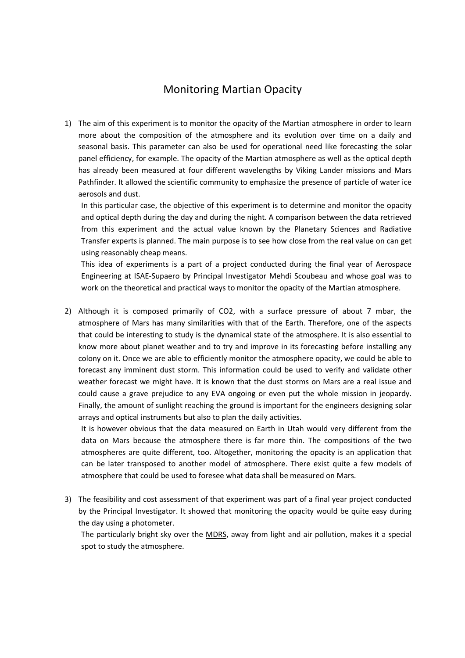## Monitoring Martian Opacity

1) The aim of this experiment is to monitor the opacity of the Martian atmosphere in order to learn more about the composition of the atmosphere and its evolution over time on a daily and seasonal basis. This parameter can also be used for operational need like forecasting the solar panel efficiency, for example. The opacity of the Martian atmosphere as well as the optical depth has already been measured at four different wavelengths by Viking Lander missions and Mars Pathfinder. It allowed the scientific community to emphasize the presence of particle of water ice aerosols and dust.

In this particular case, the objective of this experiment is to determine and monitor the opacity and optical depth during the day and during the night. A comparison between the data retrieved from this experiment and the actual value known by the Planetary Sciences and Radiative Transfer experts is planned. The main purpose is to see how close from the real value on can get using reasonably cheap means.

This idea of experiments is a part of a project conducted during the final year of Aerospace Engineering at ISAE-Supaero by Principal Investigator Mehdi Scoubeau and whose goal was to work on the theoretical and practical ways to monitor the opacity of the Martian atmosphere.

2) Although it is composed primarily of CO2, with a surface pressure of about 7 mbar, the atmosphere of Mars has many similarities with that of the Earth. Therefore, one of the aspects that could be interesting to study is the dynamical state of the atmosphere. It is also essential to know more about planet weather and to try and improve in its forecasting before installing any colony on it. Once we are able to efficiently monitor the atmosphere opacity, we could be able to forecast any imminent dust storm. This information could be used to verify and validate other weather forecast we might have. It is known that the dust storms on Mars are a real issue and could cause a grave prejudice to any EVA ongoing or even put the whole mission in jeopardy. Finally, the amount of sunlight reaching the ground is important for the engineers designing solar arrays and optical instruments but also to plan the daily activities.

It is however obvious that the data measured on Earth in Utah would very different from the data on Mars because the atmosphere there is far more thin. The compositions of the two atmospheres are quite different, too. Altogether, monitoring the opacity is an application that can be later transposed to another model of atmosphere. There exist quite a few models of atmosphere that could be used to foresee what data shall be measured on Mars.

3) The feasibility and cost assessment of that experiment was part of a final year project conducted by the Principal Investigator. It showed that monitoring the opacity would be quite easy during the day using a photometer.

The particularly bright sky over the MDRS, away from light and air pollution, makes it a special spot to study the atmosphere.